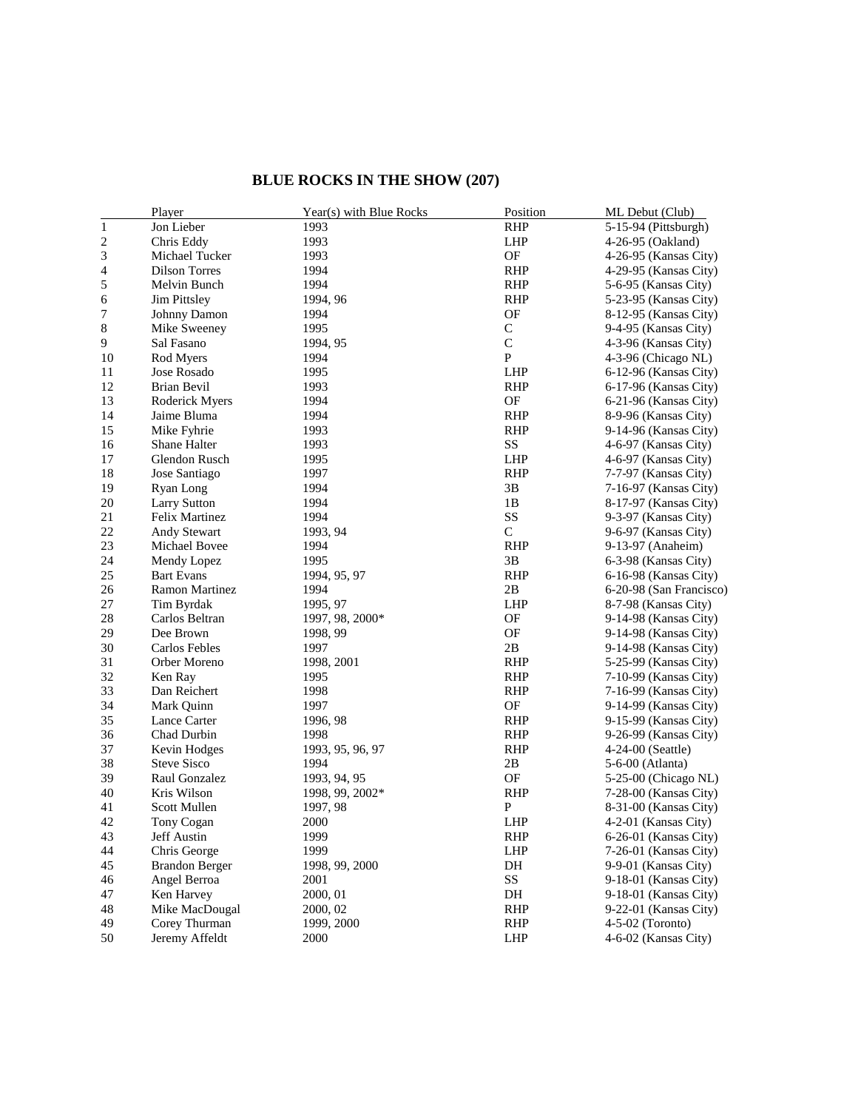## **BLUE ROCKS IN THE SHOW (207)**

|       | Player                | Year(s) with Blue Rocks | Position     | ML Debut (Club)         |
|-------|-----------------------|-------------------------|--------------|-------------------------|
| $\,1$ | Jon Lieber            | 1993                    | <b>RHP</b>   | 5-15-94 (Pittsburgh)    |
| 2     | Chris Eddy            | 1993                    | LHP          | 4-26-95 (Oakland)       |
| 3     | Michael Tucker        | 1993                    | OF           | 4-26-95 (Kansas City)   |
| 4     | <b>Dilson Torres</b>  | 1994                    | <b>RHP</b>   | 4-29-95 (Kansas City)   |
| 5     | Melvin Bunch          | 1994                    | <b>RHP</b>   | 5-6-95 (Kansas City)    |
| 6     | <b>Jim Pittsley</b>   | 1994, 96                | <b>RHP</b>   | 5-23-95 (Kansas City)   |
| 7     | Johnny Damon          | 1994                    | OF           | 8-12-95 (Kansas City)   |
| 8     | Mike Sweeney          | 1995                    | $\mathsf{C}$ | 9-4-95 (Kansas City)    |
| 9     | Sal Fasano            | 1994, 95                | $\mathsf{C}$ | 4-3-96 (Kansas City)    |
| 10    | Rod Myers             | 1994                    | $\mathbf{P}$ | 4-3-96 (Chicago NL)     |
| 11    | Jose Rosado           | 1995                    | LHP          | 6-12-96 (Kansas City)   |
| 12    | Brian Bevil           | 1993                    | <b>RHP</b>   | 6-17-96 (Kansas City)   |
| 13    | Roderick Myers        | 1994                    | OF           | 6-21-96 (Kansas City)   |
| 14    | Jaime Bluma           | 1994                    | <b>RHP</b>   | 8-9-96 (Kansas City)    |
| 15    | Mike Fyhrie           | 1993                    | <b>RHP</b>   | 9-14-96 (Kansas City)   |
| 16    | Shane Halter          | 1993                    | SS           | 4-6-97 (Kansas City)    |
| 17    | Glendon Rusch         | 1995                    | LHP          | 4-6-97 (Kansas City)    |
| 18    | Jose Santiago         | 1997                    | <b>RHP</b>   | 7-7-97 (Kansas City)    |
| 19    | Ryan Long             | 1994                    | 3B           | 7-16-97 (Kansas City)   |
| 20    | <b>Larry Sutton</b>   | 1994                    | 1B           | 8-17-97 (Kansas City)   |
| 21    | Felix Martinez        | 1994                    | SS           | 9-3-97 (Kansas City)    |
| 22    | <b>Andy Stewart</b>   | 1993, 94                | $\mathsf{C}$ | 9-6-97 (Kansas City)    |
| 23    | Michael Bovee         | 1994                    | <b>RHP</b>   | 9-13-97 (Anaheim)       |
| 24    | Mendy Lopez           | 1995                    | 3B           | 6-3-98 (Kansas City)    |
| 25    | <b>Bart Evans</b>     | 1994, 95, 97            | <b>RHP</b>   | 6-16-98 (Kansas City)   |
| 26    | <b>Ramon Martinez</b> | 1994                    | 2B           | 6-20-98 (San Francisco) |
| 27    | Tim Byrdak            | 1995, 97                | <b>LHP</b>   | 8-7-98 (Kansas City)    |
| 28    | Carlos Beltran        | 1997, 98, 2000*         | OF           | 9-14-98 (Kansas City)   |
| 29    | Dee Brown             | 1998, 99                | OF           | 9-14-98 (Kansas City)   |
| 30    | Carlos Febles         | 1997                    | 2B           | 9-14-98 (Kansas City)   |
| 31    | Orber Moreno          | 1998, 2001              | <b>RHP</b>   | 5-25-99 (Kansas City)   |
| 32    | Ken Ray               | 1995                    | <b>RHP</b>   | 7-10-99 (Kansas City)   |
| 33    | Dan Reichert          | 1998                    | <b>RHP</b>   | 7-16-99 (Kansas City)   |
| 34    | Mark Quinn            | 1997                    | OF           | 9-14-99 (Kansas City)   |
| 35    | Lance Carter          | 1996, 98                | <b>RHP</b>   | 9-15-99 (Kansas City)   |
| 36    | Chad Durbin           | 1998                    | <b>RHP</b>   | 9-26-99 (Kansas City)   |
| 37    | Kevin Hodges          | 1993, 95, 96, 97        | <b>RHP</b>   | 4-24-00 (Seattle)       |
| 38    | <b>Steve Sisco</b>    | 1994                    | 2B           | 5-6-00 (Atlanta)        |
| 39    | Raul Gonzalez         | 1993, 94, 95            | OF           | 5-25-00 (Chicago NL)    |
| 40    | Kris Wilson           | 1998, 99, 2002*         | <b>RHP</b>   | 7-28-00 (Kansas City)   |
| 41    | Scott Mullen          | 1997, 98                | $\mathbf{P}$ | 8-31-00 (Kansas City)   |
| 42    | Tony Cogan            | 2000                    | LHP          | 4-2-01 (Kansas City)    |
| 43    | Jeff Austin           | 1999                    | <b>RHP</b>   | 6-26-01 (Kansas City)   |
| 44    | Chris George          | 1999                    | <b>LHP</b>   | 7-26-01 (Kansas City)   |
| 45    | <b>Brandon Berger</b> | 1998, 99, 2000          | DH           | 9-9-01 (Kansas City)    |
| 46    | Angel Berroa          | 2001                    | SS           | 9-18-01 (Kansas City)   |
| 47    | Ken Harvey            | 2000, 01                | DH           | 9-18-01 (Kansas City)   |
| 48    | Mike MacDougal        | 2000, 02                | <b>RHP</b>   | 9-22-01 (Kansas City)   |
| 49    | Corey Thurman         | 1999, 2000              | <b>RHP</b>   | 4-5-02 (Toronto)        |
| 50    | Jeremy Affeldt        | 2000                    | LHP          | 4-6-02 (Kansas City)    |
|       |                       |                         |              |                         |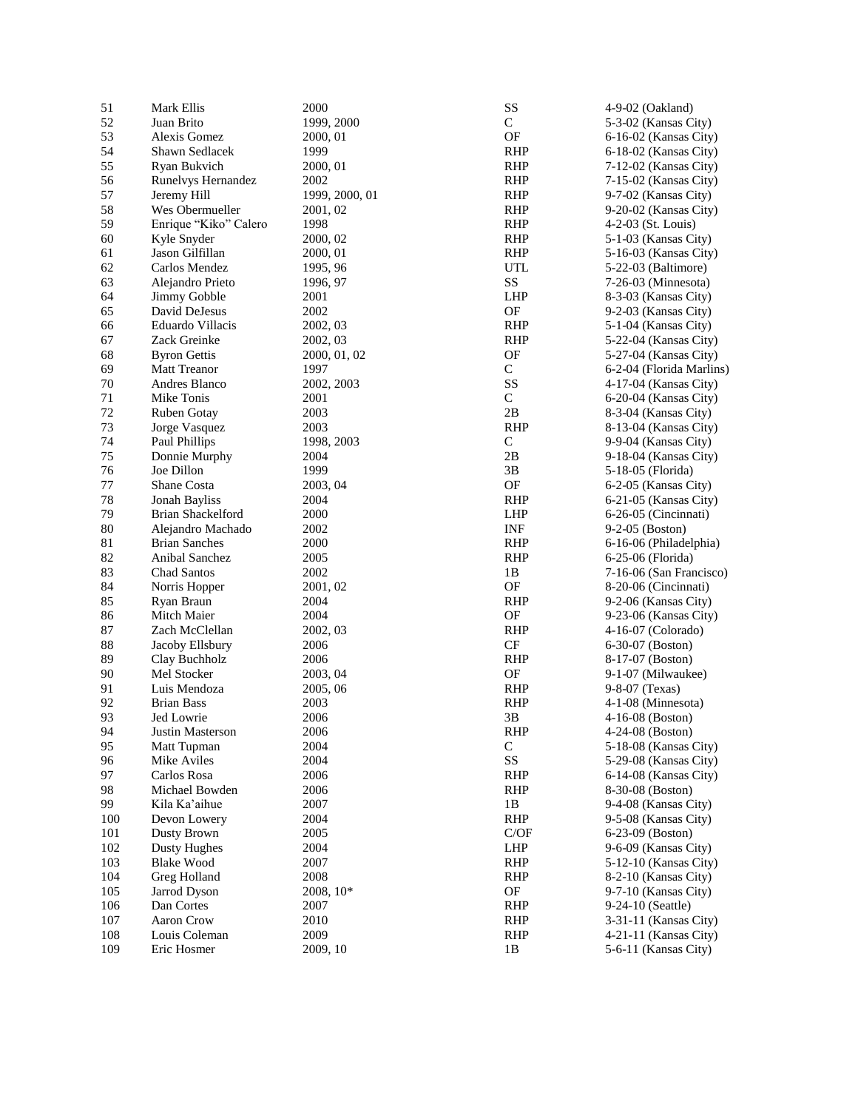| 51  | Mark Ellis            | 2000           | SS                         | 4-9-02 (Oakland)         |
|-----|-----------------------|----------------|----------------------------|--------------------------|
| 52  | Juan Brito            | 1999, 2000     | $\mathsf{C}$               | 5-3-02 (Kansas City)     |
| 53  | Alexis Gomez          | 2000, 01       | OF                         | 6-16-02 (Kansas City)    |
| 54  | Shawn Sedlacek        | 1999           | <b>RHP</b>                 | 6-18-02 (Kansas City)    |
| 55  | Ryan Bukvich          | 2000, 01       | <b>RHP</b>                 | 7-12-02 (Kansas City)    |
| 56  | Runelvys Hernandez    | 2002           | <b>RHP</b>                 | 7-15-02 (Kansas City)    |
| 57  | Jeremy Hill           | 1999, 2000, 01 | <b>RHP</b>                 | 9-7-02 (Kansas City)     |
| 58  | Wes Obermueller       | 2001, 02       | <b>RHP</b>                 | 9-20-02 (Kansas City)    |
| 59  | Enrique "Kiko" Calero | 1998           | <b>RHP</b>                 | 4-2-03 (St. Louis)       |
| 60  |                       | 2000, 02       | <b>RHP</b>                 |                          |
|     | Kyle Snyder           |                |                            | 5-1-03 (Kansas City)     |
| 61  | Jason Gilfillan       | 2000, 01       | <b>RHP</b>                 | 5-16-03 (Kansas City)    |
| 62  | Carlos Mendez         | 1995, 96       | UTL                        | 5-22-03 (Baltimore)      |
| 63  | Alejandro Prieto      | 1996, 97       | SS                         | 7-26-03 (Minnesota)      |
| 64  | Jimmy Gobble          | 2001           | <b>LHP</b>                 | 8-3-03 (Kansas City)     |
| 65  | David DeJesus         | 2002           | $\mathop{\rm OF}\nolimits$ | 9-2-03 (Kansas City)     |
| 66  | Eduardo Villacis      | 2002, 03       | <b>RHP</b>                 | 5-1-04 (Kansas City)     |
| 67  | Zack Greinke          | 2002, 03       | <b>RHP</b>                 | 5-22-04 (Kansas City)    |
| 68  | <b>Byron Gettis</b>   | 2000, 01, 02   | OF                         | 5-27-04 (Kansas City)    |
| 69  | <b>Matt Treanor</b>   | 1997           | ${\bf C}$                  | 6-2-04 (Florida Marlins) |
| 70  | Andres Blanco         | 2002, 2003     | SS                         | 4-17-04 (Kansas City)    |
| 71  | Mike Tonis            | 2001           | $\mathbf C$                | 6-20-04 (Kansas City)    |
| 72  | Ruben Gotay           | 2003           | 2B                         | 8-3-04 (Kansas City)     |
| 73  | Jorge Vasquez         | 2003           | <b>RHP</b>                 | 8-13-04 (Kansas City)    |
| 74  | Paul Phillips         | 1998, 2003     | $\mathsf C$                | 9-9-04 (Kansas City)     |
| 75  | Donnie Murphy         | 2004           | 2B                         | 9-18-04 (Kansas City)    |
| 76  | Joe Dillon            | 1999           | $3\mathrm{B}$              | 5-18-05 (Florida)        |
| 77  | Shane Costa           | 2003, 04       | $\mathrm{OF}$              | 6-2-05 (Kansas City)     |
| 78  | <b>Jonah Bayliss</b>  | 2004           | <b>RHP</b>                 | 6-21-05 (Kansas City)    |
| 79  | Brian Shackelford     | 2000           | <b>LHP</b>                 | 6-26-05 (Cincinnati)     |
| 80  | Alejandro Machado     | 2002           | <b>INF</b>                 | 9-2-05 (Boston)          |
|     |                       |                |                            |                          |
| 81  | <b>Brian Sanches</b>  | 2000           | <b>RHP</b>                 | 6-16-06 (Philadelphia)   |
| 82  | Anibal Sanchez        | 2005           | <b>RHP</b>                 | 6-25-06 (Florida)        |
| 83  | <b>Chad Santos</b>    | 2002           | 1B                         | 7-16-06 (San Francisco)  |
| 84  | Norris Hopper         | 2001, 02       | OF                         | 8-20-06 (Cincinnati)     |
| 85  | Ryan Braun            | 2004           | <b>RHP</b>                 | 9-2-06 (Kansas City)     |
| 86  | Mitch Maier           | 2004           | OF                         | 9-23-06 (Kansas City)    |
| 87  | Zach McClellan        | 2002, 03       | <b>RHP</b>                 | 4-16-07 (Colorado)       |
| 88  | Jacoby Ellsbury       | 2006           | $\cal{CF}$                 | 6-30-07 (Boston)         |
| 89  | Clay Buchholz         | 2006           | <b>RHP</b>                 | 8-17-07 (Boston)         |
| 90  | Mel Stocker           | 2003, 04       | OF                         | 9-1-07 (Milwaukee)       |
| 91  | Luis Mendoza          | 2005, 06       | <b>RHP</b>                 | 9-8-07 (Texas)           |
| 92  | <b>Brian Bass</b>     | 2003           | <b>RHP</b>                 | 4-1-08 (Minnesota)       |
| 93  | Jed Lowrie            | 2006           | 3B                         | $4-16-08$ (Boston)       |
| 94  | Justin Masterson      | 2006           | <b>RHP</b>                 | 4-24-08 (Boston)         |
| 95  | Matt Tupman           | 2004           | $\mathsf{C}$               | 5-18-08 (Kansas City)    |
| 96  | Mike Aviles           | 2004           | SS                         | 5-29-08 (Kansas City)    |
| 97  | Carlos Rosa           | 2006           | <b>RHP</b>                 | 6-14-08 (Kansas City)    |
| 98  | Michael Bowden        | 2006           | <b>RHP</b>                 | 8-30-08 (Boston)         |
| 99  | Kila Ka'aihue         | 2007           | 1B                         | 9-4-08 (Kansas City)     |
| 100 | Devon Lowery          | 2004           | <b>RHP</b>                 | 9-5-08 (Kansas City)     |
| 101 | Dusty Brown           | 2005           | C/OF                       | $6-23-09$ (Boston)       |
| 102 | <b>Dusty Hughes</b>   | 2004           | <b>LHP</b>                 | 9-6-09 (Kansas City)     |
|     |                       |                |                            |                          |
| 103 | <b>Blake Wood</b>     | 2007           | <b>RHP</b>                 | 5-12-10 (Kansas City)    |
| 104 | Greg Holland          | 2008           | <b>RHP</b>                 | 8-2-10 (Kansas City)     |
| 105 | Jarrod Dyson          | 2008, 10*      | $\mathsf{OF}% _{T}$        | 9-7-10 (Kansas City)     |
| 106 | Dan Cortes            | 2007           | <b>RHP</b>                 | 9-24-10 (Seattle)        |
| 107 | <b>Aaron Crow</b>     | 2010           | <b>RHP</b>                 | 3-31-11 (Kansas City)    |
| 108 | Louis Coleman         | 2009           | <b>RHP</b>                 | 4-21-11 (Kansas City)    |
| 109 | Eric Hosmer           | 2009, 10       | 1B                         | 5-6-11 (Kansas City)     |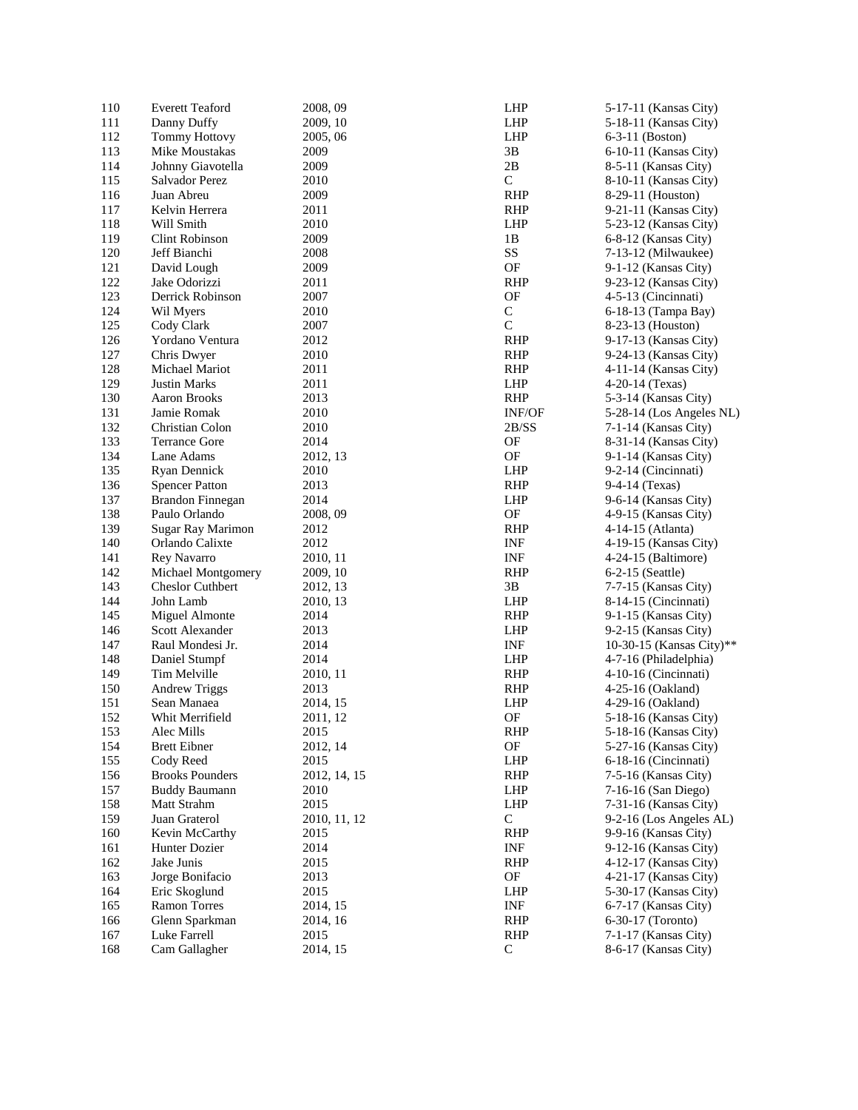| 110 | <b>Everett Teaford</b>  | 2008, 09         | <b>LHP</b>    | $5-$    |
|-----|-------------------------|------------------|---------------|---------|
| 111 | Danny Duffy             | 2009, 10         | <b>LHP</b>    | $5-$    |
| 112 | <b>Tommy Hottovy</b>    | 2005, 06         | <b>LHP</b>    | $6 - 2$ |
| 113 | Mike Moustakas          | 2009             | 3B            | 6-      |
| 114 | Johnny Giavotella       | 2009             | 2B            | $8 - 3$ |
| 115 | Salvador Perez          | 2010             | $\mathsf{C}$  | 8-      |
| 116 | Juan Abreu              | 2009             | <b>RHP</b>    | $8 - 2$ |
| 117 | Kelvin Herrera          | 2011             | <b>RHP</b>    | $9 - 2$ |
| 118 | Will Smith              | 2010             | <b>LHP</b>    | $5 - 2$ |
|     |                         |                  | 1B            |         |
| 119 | Clint Robinson          | 2009             |               | $6 - i$ |
| 120 | Jeff Bianchi            | 2008             | SS            | $7-$    |
| 121 | David Lough             | 2009             | OF            | $9-$    |
| 122 | Jake Odorizzi           | 2011             | <b>RHP</b>    | $9 - 2$ |
| 123 | Derrick Robinson        | 2007             | OF            | $4 - 3$ |
| 124 | Wil Myers               | 2010             | $\mathbf C$   | 6-      |
| 125 | Cody Clark              | 2007             | $\mathsf{C}$  | $8-2$   |
| 126 | Yordano Ventura         | 2012             | <b>RHP</b>    | 9-      |
| 127 | Chris Dwyer             | 2010             | <b>RHP</b>    | $9 - 2$ |
| 128 | Michael Mariot          | 2011             | <b>RHP</b>    | $4-$    |
| 129 | <b>Justin Marks</b>     | 2011             | <b>LHP</b>    | $4 - 2$ |
| 130 | Aaron Brooks            | 2013             | <b>RHP</b>    | $5-$    |
| 131 | Jamie Romak             | 2010             | <b>INF/OF</b> | $5-$    |
| 132 | Christian Colon         | 2010             | 2B/SS         | $7-$    |
| 133 | <b>Terrance Gore</b>    | 2014             | OF            | $8 - 3$ |
| 134 | Lane Adams              | 2012, 13         | OF            | $9-$    |
| 135 | Ryan Dennick            | 2010             | <b>LHP</b>    | $9 - 2$ |
| 136 | <b>Spencer Patton</b>   | 2013             | <b>RHP</b>    | $9 - 4$ |
| 137 | Brandon Finnegan        | 2014             | LHP           | 9-1     |
| 138 | Paulo Orlando           |                  | OF            | $4 - 9$ |
| 139 |                         | 2008, 09<br>2012 | <b>RHP</b>    | $4-$    |
| 140 | Sugar Ray Marimon       |                  |               |         |
|     | Orlando Calixte         | 2012             | <b>INF</b>    | $4-$    |
| 141 | Rey Navarro             | 2010, 11         | <b>INF</b>    | $4 - 2$ |
| 142 | Michael Montgomery      | 2009, 10         | <b>RHP</b>    | $6 - 2$ |
| 143 | <b>Cheslor Cuthbert</b> | 2012, 13         | 3B            | $7-$    |
| 144 | John Lamb               | 2010, 13         | <b>LHP</b>    | $8-$    |
| 145 | Miguel Almonte          | 2014             | RHP           | $9-$    |
| 146 | Scott Alexander         | 2013             | <b>LHP</b>    | $9 - 2$ |
| 147 | Raul Mondesi Jr.        | 2014             | INF           | 10      |
| 148 | Daniel Stumpf           | 2014             | <b>LHP</b>    | $4-$    |
| 149 | Tim Melville            | 2010, 11         | <b>RHP</b>    | $4 -$   |
| 150 | <b>Andrew Triggs</b>    | 2013             | <b>RHP</b>    | $4 - 2$ |
| 151 | Sean Manaea             | 2014, 15         | LHP           | $4-2$   |
| 152 | Whit Merrifield         | 2011, 12         | OF            | $5-$    |
| 153 | Alec Mills              | 2015             | <b>RHP</b>    | $5-$    |
| 154 | <b>Brett Eibner</b>     | 2012, 14         | OF            | $5-$    |
| 155 | Cody Reed               | 2015             | <b>LHP</b>    | 6-      |
| 156 | <b>Brooks Pounders</b>  | 2012, 14, 15     | <b>RHP</b>    | $7 - 3$ |
| 157 | <b>Buddy Baumann</b>    | 2010             | <b>LHP</b>    | $7-$    |
| 158 | Matt Strahm             | 2015             | LHP           | $7 - 3$ |
| 159 | Juan Graterol           | 2010, 11, 12     | $\mathsf{C}$  | $9 - 2$ |
| 160 | Kevin McCarthy          | 2015             | <b>RHP</b>    | $9 -$   |
| 161 |                         | 2014             | INF           | $9-$    |
|     | Hunter Dozier           |                  |               |         |
| 162 | Jake Junis              | 2015             | <b>RHP</b>    | 4-      |
| 163 | Jorge Bonifacio         | 2013             | OF            | $4 - 2$ |
| 164 | Eric Skoglund           | 2015             | <b>LHP</b>    | 5-.     |
| 165 | Ramon Torres            | 2014, 15         | INF           | $6-$    |
| 166 | Glenn Sparkman          | 2014, 16         | <b>RHP</b>    | $6-$    |
| 167 | Luke Farrell            | 2015             | RHP           | 7-      |
| 168 | Cam Gallagher           | 2014, 15         | $\mathbf C$   | $8 - 1$ |
|     |                         |                  |               |         |

 -17 -11 (Kansas City) -18 -11 (Kansas City) - 3 -11 (Boston) -10 -11 (Kansas City) - 5 -11 (Kansas City) -10 -11 (Kansas City) -29 -11 (Houston) -21 -11 (Kansas City) -23 -12 (Kansas City) - 8 -12 (Kansas City) -13 -12 (Milwaukee) - 1 -12 (Kansas City) -23 -12 (Kansas City) - 5 -13 (Cincinnati) -18 -13 (Tampa Bay) -23 -13 (Houston) -17 -13 (Kansas City) - 2 4 -13 (Kansas City) -11 -14 (Kansas City) -20 -14 (Texas) - 3 -14 (Kansas City) - 2 8 -14 (Los Angeles NL) - 1 -14 (Kansas City) -31 -14 (Kansas City) - 1 -14 (Kansas City) - 2 -14 (Cincinnati) - 4 -14 (Texas) - 6 -14 (Kansas City) - 9 -15 (Kansas City) -14 -15 (Atlanta ) -19 -15 (Kansas City) -24 -15 (Baltimore) - 2 -15 (Seattle) - 7 -15 (Kansas City) -14 -15 (Cincinnati) - 1 -15 (Kansas City) - 2 -15 (Kansas City) -30 -15 (Kansas City)\* \* - 7 -16 (Philadelphia) -10 -16 (Cincinnati) -25 -16 (Oakland) -29 -16 (Oakland) -18 -16 (Kansas City) -18 -16 (Kansas City) -27 -16 (Kansas City) -18 -16 (Cincinnati) - 5 -16 (Kansas City) -16 -16 (San Diego) -31 -16 (Kansas City) - 2 -16 (Los Angeles AL) - 9 -16 (Kansas City) -12 -16 (Kansas City) -12 -17 (Kansas City) -21 -17 (Kansas City) -30 -17 (Kansas City) - 7 -17 (Kansas City) -30 -17 (Toronto) - 1 -17 (Kansas City) - 6 -17 (Kansas City)